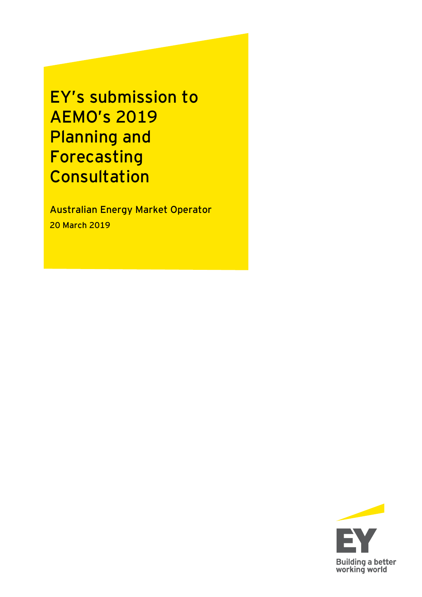EY's submission to AEMO's 2019 Planning and Forecasting Consultation

Australian Energy Market Operator 20 March 2019

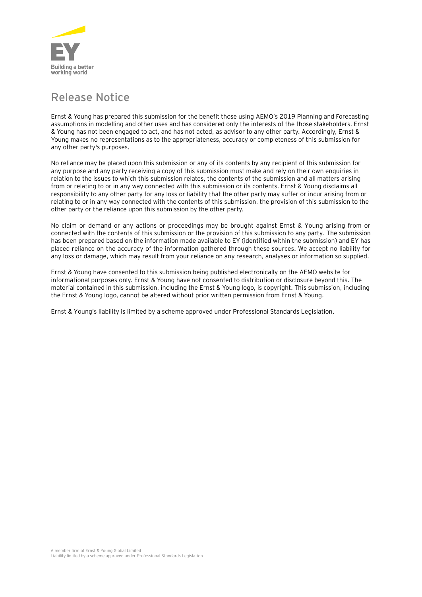

## **Release Notice**

Ernst & Young has prepared this submission for the benefit those using AEMO's 2019 Planning and Forecasting assumptions in modelling and other uses and has considered only the interests of the those stakeholders. Ernst & Young has not been engaged to act, and has not acted, as advisor to any other party. Accordingly, Ernst & Young makes no representations as to the appropriateness, accuracy or completeness of this submission for any other party's purposes.

No reliance may be placed upon this submission or any of its contents by any recipient of this submission for any purpose and any party receiving a copy of this submission must make and rely on their own enquiries in relation to the issues to which this submission relates, the contents of the submission and all matters arising from or relating to or in any way connected with this submission or its contents. Ernst & Young disclaims all responsibility to any other party for any loss or liability that the other party may suffer or incur arising from or relating to or in any way connected with the contents of this submission, the provision of this submission to the other party or the reliance upon this submission by the other party.

No claim or demand or any actions or proceedings may be brought against Ernst & Young arising from or connected with the contents of this submission or the provision of this submission to any party. The submission has been prepared based on the information made available to EY (identified within the submission) and EY has placed reliance on the accuracy of the information gathered through these sources. We accept no liability for any loss or damage, which may result from your reliance on any research, analyses or information so supplied.

Ernst & Young have consented to this submission being published electronically on the AEMO website for informational purposes only. Ernst & Young have not consented to distribution or disclosure beyond this. The material contained in this submission, including the Ernst & Young logo, is copyright. This submission, including the Ernst & Young logo, cannot be altered without prior written permission from Ernst & Young.

Ernst & Young's liability is limited by a scheme approved under Professional Standards Legislation.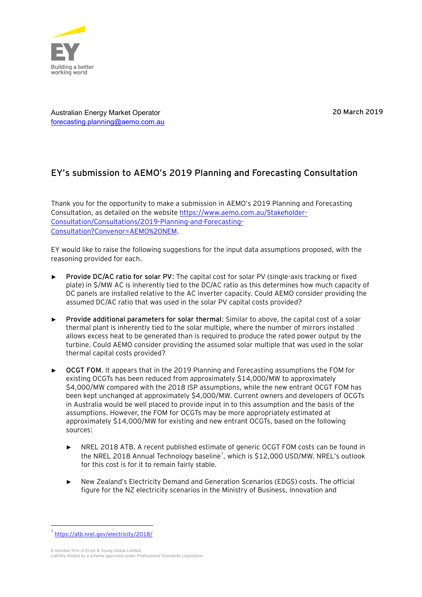

20 March 2019

Australian Energy Market Operator [forecasting.planning@aemo.com.au](mailto:forecasting.planning@aemo.com.au)

## **EY's submission to AEMO's 2019 Planning and Forecasting Consultation**

Thank you for the opportunity to make a submission in AEMO's 2019 Planning and Forecasting Consultation, as detailed on the websit[e https://www.aemo.com.au/Stakeholder-](https://www.aemo.com.au/Stakeholder-Consultation/Consultations/2019-Planning-and-Forecasting-Consultation?Convenor=AEMO%20NEM)[Consultation/Consultations/2019-Planning-and-Forecasting-](https://www.aemo.com.au/Stakeholder-Consultation/Consultations/2019-Planning-and-Forecasting-Consultation?Convenor=AEMO%20NEM)[Consultation?Convenor=AEMO%20NEM.](https://www.aemo.com.au/Stakeholder-Consultation/Consultations/2019-Planning-and-Forecasting-Consultation?Convenor=AEMO%20NEM)

EY would like to raise the following suggestions for the input data assumptions proposed, with the reasoning provided for each.

- ► **Provide DC/AC ratio for solar PV**: The capital cost for solar PV (single-axis tracking or fixed plate) in \$/MW AC is inherently tied to the DC/AC ratio as this determines how much capacity of DC panels are installed relative to the AC inverter capacity. Could AEMO consider providing the assumed DC/AC ratio that was used in the solar PV capital costs provided?
- ► **Provide additional parameters for solar thermal**: Similar to above, the capital cost of a solar thermal plant is inherently tied to the solar multiple, where the number of mirrors installed allows excess heat to be generated than is required to produce the rated power output by the turbine. Could AEMO consider providing the assumed solar multiple that was used in the solar thermal capital costs provided?
- ► **OCGT FOM**. It appears that in the 2019 Planning and Forecasting assumptions the FOM for existing OCGTs has been reduced from approximately \$14,000/MW to approximately \$4,000/MW compared with the 2018 ISP assumptions, while the new entrant OCGT FOM has been kept unchanged at approximately \$4,000/MW. Current owners and developers of OCGTs in Australia would be well placed to provide input in to this assumption and the basis of the assumptions. However, the FOM for OCGTs may be more appropriately estimated at approximately \$14,000/MW for existing and new entrant OCGTs, based on the following sources:
	- ► NREL 2018 ATB. A recent published estimate of generic OCGT FOM costs can be found in the NREL 2018 Annual Technology baseline<sup>1</sup>, which is \$12,000 USD/MW. NREL's outlook for this cost is for it to remain fairly stable.
	- ► New Zealand's Electricity Demand and Generation Scenarios (EDGS) costs. The official figure for the NZ electricity scenarios in the Ministry of Business, Innovation and

A member firm of Ernst & Young Global Limited

 $\overline{a}$ 

<sup>1</sup> <https://atb.nrel.gov/electricity/2018/>

Liability limited by a scheme approved under Professional Standards Legislation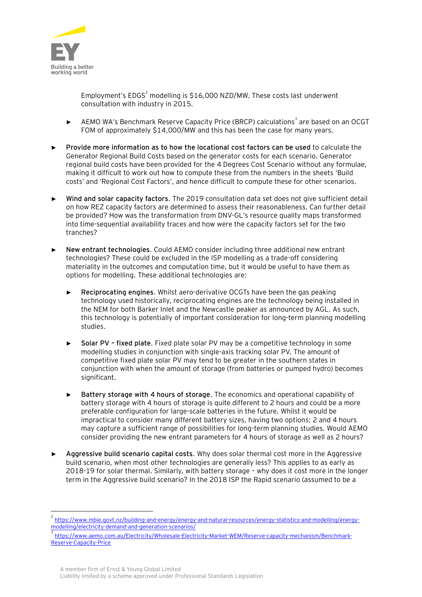

 $\overline{a}$ 

Employment's  $EDGS<sup>2</sup>$  modelling is \$16,000 NZD/MW. These costs last underwent consultation with industry in 2015.

- ► AEMO WA's Benchmark Reserve Capacity Price (BRCP) calculations<sup>3</sup> are based on an OCGT FOM of approximately \$14,000/MW and this has been the case for many years.
- ► **Provide more information as to how the locational cost factors can be used** to calculate the Generator Regional Build Costs based on the generator costs for each scenario. Generator regional build costs have been provided for the 4 Degrees Cost Scenario without any formulae, making it difficult to work out how to compute these from the numbers in the sheets 'Build costs' and 'Regional Cost Factors', and hence difficult to compute these for other scenarios.
- ► **Wind and solar capacity factors**. The 2019 consultation data set does not give sufficient detail on how REZ capacity factors are determined to assess their reasonableness. Can further detail be provided? How was the transformation from DNV-GL's resource quality maps transformed into time-sequential availability traces and how were the capacity factors set for the two tranches?
- ► **New entrant technologies**. Could AEMO consider including three additional new entrant technologies? These could be excluded in the ISP modelling as a trade-off considering materiality in the outcomes and computation time, but it would be useful to have them as options for modelling. These additional technologies are:
	- ► **Reciprocating engines**. Whilst aero-derivative OCGTs have been the gas peaking technology used historically, reciprocating engines are the technology being installed in the NEM for both Barker Inlet and the Newcastle peaker as announced by AGL. As such, this technology is potentially of important consideration for long-term planning modelling studies.
	- ► **Solar PV – fixed plate**. Fixed plate solar PV may be a competitive technology in some modelling studies in conjunction with single-axis tracking solar PV. The amount of competitive fixed plate solar PV may tend to be greater in the southern states in conjunction with when the amount of storage (from batteries or pumped hydro) becomes significant.
	- ► **Battery storage with 4 hours of storage**. The economics and operational capability of battery storage with 4 hours of storage is quite different to 2 hours and could be a more preferable configuration for large-scale batteries in the future. Whilst it would be impractical to consider many different battery sizes, having two options; 2 and 4 hours may capture a sufficient range of possibilities for long-term planning studies. Would AEMO consider providing the new entrant parameters for 4 hours of storage as well as 2 hours?
- ► **Aggressive build scenario capital costs**. Why does solar thermal cost more in the Aggressive build scenario, when most other technologies are generally less? This applies to as early as 2018-19 for solar thermal. Similarly, with battery storage – why does it cost more in the longer term in the Aggressive build scenario? In the 2018 ISP the Rapid scenario (assumed to be a

<sup>2</sup> [https://www.mbie.govt.nz/building-and-energy/energy-and-natural-resources/energy-statistics-and-modelling/energy](https://www.mbie.govt.nz/building-and-energy/energy-and-natural-resources/energy-statistics-and-modelling/energy-modelling/electricity-demand-and-generation-scenarios/)[modelling/electricity-demand-and-generation-scenarios/](https://www.mbie.govt.nz/building-and-energy/energy-and-natural-resources/energy-statistics-and-modelling/energy-modelling/electricity-demand-and-generation-scenarios/)

<sup>3</sup> [https://www.aemo.com.au/Electricity/Wholesale-Electricity-Market-WEM/Reserve-capacity-mechanism/Benchmark-](https://www.aemo.com.au/Electricity/Wholesale-Electricity-Market-WEM/Reserve-capacity-mechanism/Benchmark-Reserve-Capacity-Price)[Reserve-Capacity-Price](https://www.aemo.com.au/Electricity/Wholesale-Electricity-Market-WEM/Reserve-capacity-mechanism/Benchmark-Reserve-Capacity-Price)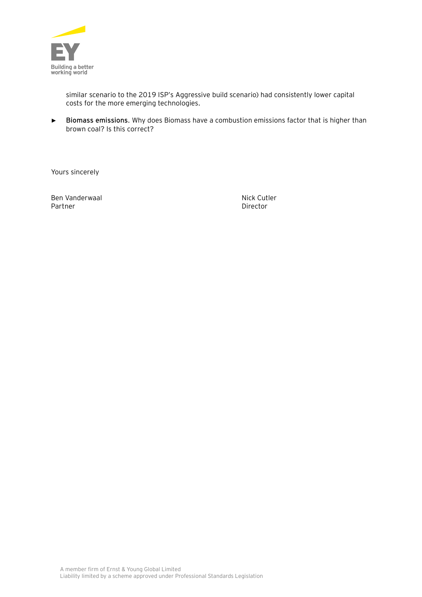

similar scenario to the 2019 ISP's Aggressive build scenario) had consistently lower capital costs for the more emerging technologies.

► **Biomass emissions**. Why does Biomass have a combustion emissions factor that is higher than brown coal? Is this correct?

Yours sincerely

Ben Vanderwaal Nick Cutler Partner Director